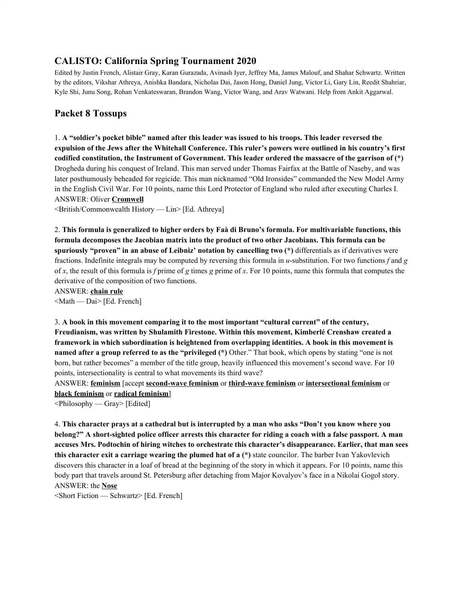# **CALISTO: California Spring Tournament 2020**

Edited by Justin French, Alistair Gray, Karan Gurazada, Avinash Iyer, Jeffrey Ma, James Malouf, and Shahar Schwartz. Written by the editors, Vikshar Athreya, Anishka Bandara, Nicholas Dai, Jason Hong, Daniel Jung, Victor Li, Gary Lin, Reedit Shahriar, Kyle Shi, Junu Song, Rohan Venkateswaran, Brandon Wang, Victor Wang, and Arav Watwani. Help from Ankit Aggarwal.

# **Packet 8 Tossups**

1. **A "soldier's pocket bible" named after this leader was issued to his troops. This leader reversed the** expulsion of the Jews after the Whitehall Conference. This ruler's powers were outlined in his country's first **codified constitution, the Instrument of Government. This leader ordered the massacre of the garrison of (\*)** Drogheda during his conquest of Ireland. This man served under Thomas Fairfax at the Battle of Naseby, and was later posthumously beheaded for regicide. This man nicknamed "Old Ironsides" commanded the New Model Army in the English Civil War. For 10 points, name this Lord Protector of England who ruled after executing Charles I. ANSWER: Oliver **Cromwell**

<British/Commonwealth History — Lin> [Ed. Athreya]

2. **This formula is generalized to higher orders by Faà di Bruno's formula. For multivariable functions, this formula decomposes the Jacobian matrix into the product of two other Jacobians. This formula can be spuriously "proven" in an abuse of Leibniz' notation by cancelling two (\*)** differentials as if derivatives were fractions. Indefinite integrals may be computed by reversing this formula in *u*-substitution. For two functions *f* and *g* of *x*, the result of this formula is *f* prime of *g* times *g* prime of *x*. For 10 points, name this formula that computes the derivative of the composition of two functions.

ANSWER: **chain rule** <Math — Dai> [Ed. French]

3. **A book in this movement comparing it to the most important "cultural current" of the century, Freudianism, was written by Shulamith Firestone. Within this movement, Kimberlé Crenshaw created a framework in which subordination is heightened from overlapping identities. A book in this movement is named after a group referred to as the "privileged (\*)** Other." That book, which opens by stating "one is not born, but rather becomes" a member of the title group, heavily influenced this movement's second wave. For 10 points, intersectionality is central to what movements its third wave?

ANSWER: **feminism** [accept **second-wave feminism** or **third-wave feminism** or **intersectional feminism** or **black feminism** or **radical feminism**]

<Philosophy — Gray> [Edited]

4. This character prays at a cathedral but is interrupted by a man who asks "Don't you know where you belong?" A short-sighted police officer arrests this character for riding a coach with a false passport. A man **accuses Mrs. Podtochin of hiring witches to orchestrate this character's disappearance. Earlier, that man sees this character exit a carriage wearing the plumed hat of a (\*)** state councilor. The barber Ivan Yakovlevich discovers this character in a loaf of bread at the beginning of the story in which it appears. For 10 points, name this body part that travels around St. Petersburg after detaching from Major Kovalyov's face in a Nikolai Gogol story. ANSWER: the **Nose**

<Short Fiction — Schwartz> [Ed. French]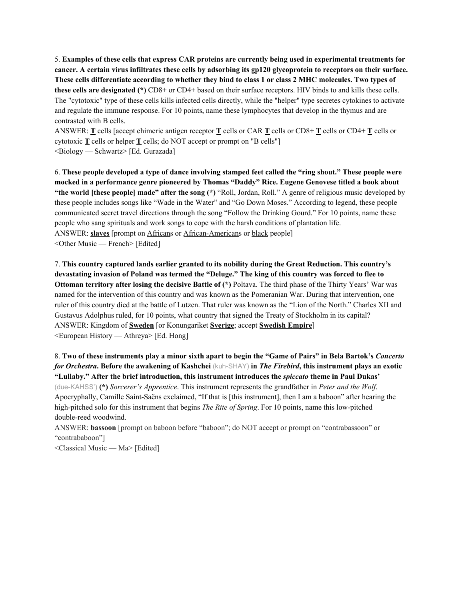5. **Examples of these cells that express CAR proteins are currently being used in experimental treatments for** cancer. A certain virus infiltrates these cells by adsorbing its gp120 glycoprotein to receptors on their surface. These cells differentiate according to whether they bind to class 1 or class 2 MHC molecules. Two types of **these cells are designated (\*)** CD8+ or CD4+ based on their surface receptors. HIV binds to and kills these cells. The "cytotoxic" type of these cells kills infected cells directly, while the "helper" type secretes cytokines to activate and regulate the immune response. For 10 points, name these lymphocytes that develop in the thymus and are contrasted with B cells.

ANSWER: **T** cells [accept chimeric antigen receptor **T** cells or CAR **T** cells or CD8+ **T** cells or CD4+ **T** cells or cytotoxic **T** cells or helper **T** cells; do NOT accept or prompt on "B cells"] <Biology — Schwartz> [Ed. Gurazada]

6. These people developed a type of dance involving stamped feet called the "ring shout." These people were **mocked in a performance genre pioneered by Thomas "Daddy" Rice. Eugene Genovese titled a book about "the world [these people] made" after the song (\*)** "Roll, Jordan, Roll." A genre of religious music developed by these people includes songs like "Wade in the Water" and "Go Down Moses." According to legend, these people communicated secret travel directions through the song "Follow the Drinking Gourd." For 10 points, name these people who sang spirituals and work songs to cope with the harsh conditions of plantation life. ANSWER: **slaves** [prompt on Africans or African-Americans or black people] <Other Music — French> [Edited]

7. **This country captured lands earlier granted to its nobility during the Great Reduction. This country's** devastating invasion of Poland was termed the "Deluge." The king of this country was forced to flee to **Ottoman territory after losing the decisive Battle of (\*)** Poltava. The third phase of the Thirty Years' War was named for the intervention of this country and was known as the Pomeranian War. During that intervention, one ruler of this country died at the battle of Lutzen. That ruler was known as the "Lion of the North." Charles XII and Gustavus Adolphus ruled, for 10 points, what country that signed the Treaty of Stockholm in its capital? ANSWER: Kingdom of **Sweden** [or Konungariket **Sverige**; accept **Swedish Empire**] <European History — Athreya> [Ed. Hong]

8. Two of these instruments play a minor sixth apart to begin the "Game of Pairs" in Bela Bartok's Concerto for Orchestra. Before the awakening of Kashchei (kuh-SHAY) in The Firebird, this instrument plays an exotic **"Lullaby." After the brief introduction, this instrument introduces the** *spiccato* **theme in Paul Dukas'** (due-KAHSS') **(\*)** *Sorcerer's Apprentice*. This instrument represents the grandfather in *Peter and the Wolf*. Apocryphally, Camille Saint-Saëns exclaimed, "If that is [this instrument], then I am a baboon" after hearing the high-pitched solo for this instrument that begins *The Rite of Spring*. For 10 points, name this low-pitched double-reed woodwind.

ANSWER: **bassoon** [prompt on baboon before "baboon"; do NOT accept or prompt on "contrabassoon" or "contrababoon"]

<Classical Music — Ma> [Edited]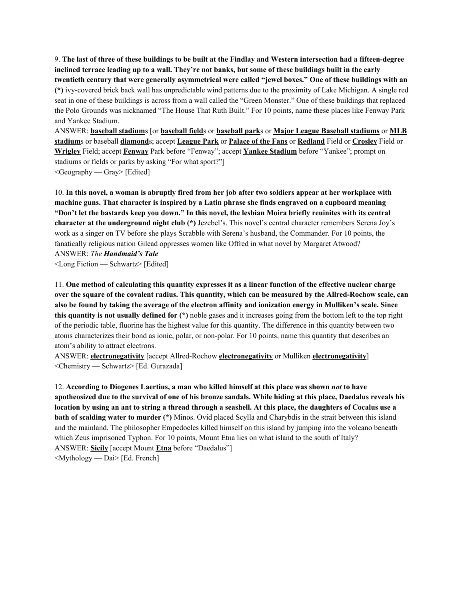9. The last of three of these buildings to be built at the Findlay and Western intersection had a fifteen-degree inclined terrace leading up to a wall. They're not banks, but some of these buildings built in the early **twentieth century that were generally asymmetrical were called "jewel boxes." One of these buildings with an (\*)** ivy-covered brick back wall has unpredictable wind patterns due to the proximity of Lake Michigan. A single red seat in one of these buildings is across from a wall called the "Green Monster." One of these buildings that replaced the Polo Grounds was nicknamed "The House That Ruth Built." For 10 points, name these places like Fenway Park and Yankee Stadium.

ANSWER: **baseball stadium**s [or **baseball field**s or **baseball park**s or **Major League Baseball stadiums** or **MLB stadium**s or baseball **diamond**s; accept **League Park** or **Palace of the Fans** or **Redland** Field or **Crosley** Field or **Wrigley** Field; accept **Fenway** Park before "Fenway"; accept **Yankee Stadium** before "Yankee"; prompt on stadiums or fields or parks by asking "For what sport?"] <Geography — Gray> [Edited]

10. In this novel, a woman is abruptly fired from her job after two soldiers appear at her workplace with **machine guns. That character is inspired by a Latin phrase she finds engraved on a cupboard meaning** "Don't let the bastards keep you down." In this novel, the lesbian Moira briefly reuinites with its central **character at the underground night club (\*)** Jezebel's. This novel's central character remembers Serena Joy's work as a singer on TV before she plays Scrabble with Serena's husband, the Commander. For 10 points, the fanatically religious nation Gilead oppresses women like Offred in what novel by Margaret Atwood? ANSWER: *The Handmaid's Tale*

<Long Fiction — Schwartz> [Edited]

11. One method of calculating this quantity expresses it as a linear function of the effective nuclear charge over the square of the covalent radius. This quantity, which can be measured by the Allred-Rochow scale, can also be found by taking the average of the electron affinity and ionization energy in Mulliken's scale. Since **this quantity is not usually defined for (\*)** noble gases and it increases going from the bottom left to the top right of the periodic table, fluorine has the highest value for this quantity. The difference in this quantity between two atoms characterizes their bond as ionic, polar, or non-polar. For 10 points, name this quantity that describes an atom's ability to attract electrons.

ANSWER: **electronegativity** [accept Allred-Rochow **electronegativity** or Mulliken **electronegativity**] <Chemistry — Schwartz> [Ed. Gurazada]

12. **According to Diogenes Laertius, a man who killed himself at this place was shown** *not* **to have** apotheosized due to the survival of one of his bronze sandals. While hiding at this place, Daedalus reveals his location by using an ant to string a thread through a seashell. At this place, the daughters of Cocalus use a **bath of scalding water to murder (\*)** Minos. Ovid placed Scylla and Charybdis in the strait between this island and the mainland. The philosopher Empedocles killed himself on this island by jumping into the volcano beneath which Zeus imprisoned Typhon. For 10 points, Mount Etna lies on what island to the south of Italy? ANSWER: **Sicily** [accept Mount **Etna** before "Daedalus"] <Mythology — Dai> [Ed. French]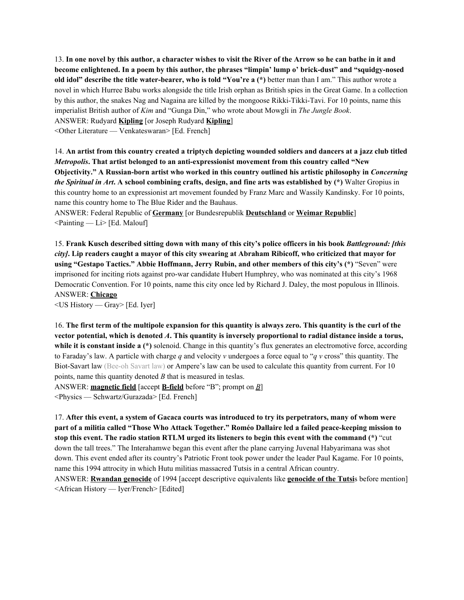13. In one novel by this author, a character wishes to visit the River of the Arrow so he can bathe in it and **become enlightened. In a poem by this author, the phrases "limpin' lump o' brick-dust" and "squidgy-nosed old idol" describe the title water-bearer, who is told "You're a (\*)** better man than I am." This author wrote a novel in which Hurree Babu works alongside the title Irish orphan as British spies in the Great Game. In a collection by this author, the snakes Nag and Nagaina are killed by the mongoose Rikki-Tikki-Tavi. For 10 points, name this imperialist British author of *Kim* and "Gunga Din," who wrote about Mowgli in *The Jungle Book*. ANSWER: Rudyard **Kipling** [or Joseph Rudyard **Kipling**]

<Other Literature — Venkateswaran> [Ed. French]

14. An artist from this country created a triptych depicting wounded soldiers and dancers at a jazz club titled *Metropolis***. That artist belonged to an anti-expressionist movement from this country called "New Objectivity." A Russian-born artist who worked in this country outlined his artistic philosophy in** *Concerning the Spiritual in Art.* A school combining crafts, design, and fine arts was established by  $(*)$  Walter Gropius in this country home to an expressionist art movement founded by Franz Marc and Wassily Kandinsky. For 10 points, name this country home to The Blue Rider and the Bauhaus.

ANSWER: Federal Republic of **Germany** [or Bundesrepublik **Deutschland** or **Weimar Republic**]  $\leq$ Painting — Li $>$  [Ed. Malouf]

15. Frank Kusch described sitting down with many of this city's police officers in his book Battleground: [this city]. Lip readers caught a mayor of this city swearing at Abraham Ribicoff, who criticized that mayor for **using "Gestapo Tactics." Abbie Hoffmann, Jerry Rubin, and other members of this city's (\*)** "Seven" were imprisoned for inciting riots against pro-war candidate Hubert Humphrey, who was nominated at this city's 1968 Democratic Convention. For 10 points, name this city once led by Richard J. Daley, the most populous in Illinois. ANSWER: **Chicago**

<US History — Gray> [Ed. Iyer]

16. The first term of the multipole expansion for this quantity is always zero. This quantity is the curl of the vector potential, which is denoted  $A$ . This quantity is inversely proportional to radial distance inside a torus, **while it is constant inside a** (\*) solenoid. Change in this quantity's flux generates an electromotive force, according to Faraday's law. A particle with charge *q* and velocity *v* undergoes a force equal to "*q v* cross" this quantity. The Biot-Savart law (Bee-oh Savart law) or Ampere's law can be used to calculate this quantity from current. For 10 points, name this quantity denoted *B* that is measured in teslas. ANSWER: **magnetic field** [accept **B-field** before "B"; prompt on *B*]

<Physics — Schwartz/Gurazada> [Ed. French]

17. After this event, a system of Gacaca courts was introduced to try its perpetrators, many of whom were part of a militia called "Those Who Attack Together." Roméo Dallaire led a failed peace-keeping mission to stop this event. The radio station RTLM urged its listeners to begin this event with the command (\*) "cut down the tall trees." The Interahamwe began this event after the plane carrying Juvenal Habyarimana was shot down. This event ended after its country's Patriotic Front took power under the leader Paul Kagame. For 10 points, name this 1994 attrocity in which Hutu militias massacred Tutsis in a central African country.

ANSWER: **Rwandan genocide** of 1994 [accept descriptive equivalents like **genocide of the Tutsi**s before mention] <African History — Iyer/French> [Edited]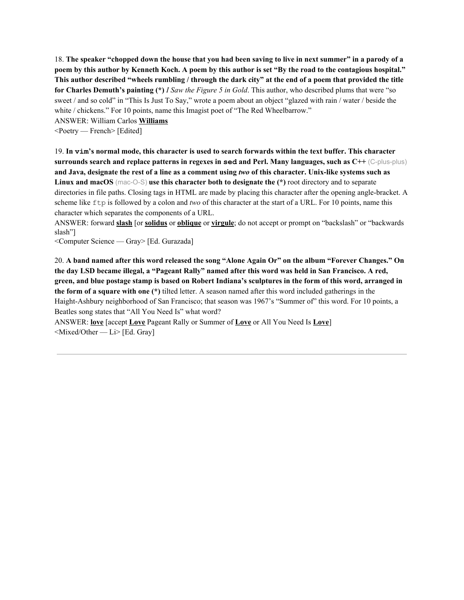18. The speaker "chopped down the house that you had been saving to live in next summer" in a parody of a poem by this author by Kenneth Koch. A poem by this author is set "By the road to the contagious hospital." This author described "wheels rumbling / through the dark city" at the end of a poem that provided the title **for Charles Demuth's painting (\*)** *I Saw the Figure 5 in Gold*. This author, who described plums that were "so sweet / and so cold" in "This Is Just To Say," wrote a poem about an object "glazed with rain / water / beside the white / chickens." For 10 points, name this Imagist poet of "The Red Wheelbarrow."

ANSWER: William Carlos **Williams**

<Poetry — French> [Edited]

19. In vim's normal mode, this character is used to search forwards within the text buffer. This character **surrounds search and replace patterns in regexes in sed and Perl. Many languages, such as C++** (C-plus-plus) and Java, designate the rest of a line as a comment using two of this character. Unix-like systems such as **Linux and macOS** (mac-O-S) **use this character both to designate the (\*)** root directory and to separate directories in file paths. Closing tags in HTML are made by placing this character after the opening angle-bracket. A scheme like ftp is followed by a colon and *two* of this character at the start of a URL. For 10 points, name this character which separates the components of a URL.

ANSWER: forward **slash** [or **solidus** or **oblique** or **virgule**; do not accept or prompt on "backslash" or "backwards slash"]

<Computer Science — Gray> [Ed. Gurazada]

20. A band named after this word released the song "Alone Again Or" on the album "Forever Changes." On the day LSD became illegal, a "Pageant Rally" named after this word was held in San Francisco. A red, green, and blue postage stamp is based on Robert Indiana's sculptures in the form of this word, arranged in **the form of a square with one (\*)** tilted letter. A season named after this word included gatherings in the Haight-Ashbury neighborhood of San Francisco; that season was 1967's "Summer of" this word. For 10 points, a Beatles song states that "All You Need Is" what word?

ANSWER: **love** [accept **Love** Pageant Rally or Summer of **Love** or All You Need Is **Love**] <Mixed/Other — Li> [Ed. Gray]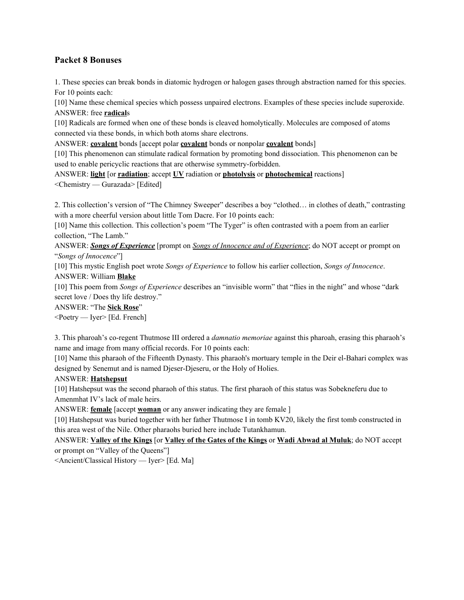# **Packet 8 Bonuses**

1. These species can break bonds in diatomic hydrogen or halogen gases through abstraction named for this species. For 10 points each:

[10] Name these chemical species which possess unpaired electrons. Examples of these species include superoxide. ANSWER: free **radical**s

[10] Radicals are formed when one of these bonds is cleaved homolytically. Molecules are composed of atoms connected via these bonds, in which both atoms share electrons.

ANSWER: **covalent** bonds [accept polar **covalent** bonds or nonpolar **covalent** bonds]

[10] This phenomenon can stimulate radical formation by promoting bond dissociation. This phenomenon can be used to enable pericyclic reactions that are otherwise symmetry-forbidden.

ANSWER: **light** [or **radiation**; accept **UV** radiation or **photolysis** or **photochemical** reactions] <Chemistry — Gurazada> [Edited]

2. This collection's version of "The Chimney Sweeper" describes a boy "clothed… in clothes of death," contrasting with a more cheerful version about little Tom Dacre. For 10 points each:

[10] Name this collection. This collection's poem "The Tyger" is often contrasted with a poem from an earlier collection, "The Lamb."

ANSWER: *Songs of Experience* [prompt on *Songs of Innocence and of Experience*; do NOT accept or prompt on "*Songs of Innocence*"]

[10] This mystic English poet wrote *Songs of Experience* to follow his earlier collection, *Songs of Innocence*. ANSWER: William **Blake**

[10] This poem from *Songs of Experience* describes an "invisible worm" that "flies in the night" and whose "dark secret love / Does thy life destroy."

ANSWER: "The **Sick Rose**"

<Poetry — Iyer> [Ed. French]

3. This pharoah's co-regent Thutmose III ordered a *damnatio memoriae* against this pharoah, erasing this pharaoh's name and image from many official records. For 10 points each:

[10] Name this pharaoh of the Fifteenth Dynasty. This pharaoh's mortuary temple in the Deir el-Bahari complex was designed by Senemut and is named Djeser-Djeseru, or the Holy of Holies.

# ANSWER: **Hatshepsut**

[10] Hatshepsut was the second pharaoh of this status. The first pharaoh of this status was Sobekneferu due to Amenmhat IV's lack of male heirs.

ANSWER: **female** [accept **woman** or any answer indicating they are female ]

[10] Hatshepsut was buried together with her father Thutmose I in tomb KV20, likely the first tomb constructed in this area west of the Nile. Other pharaohs buried here include Tutankhamun.

ANSWER: **Valley of the Kings** [or **Valley of the Gates of the Kings** or **Wadi Abwad al Muluk**; do NOT accept or prompt on "Valley of the Queens"]

<Ancient/Classical History — Iyer> [Ed. Ma]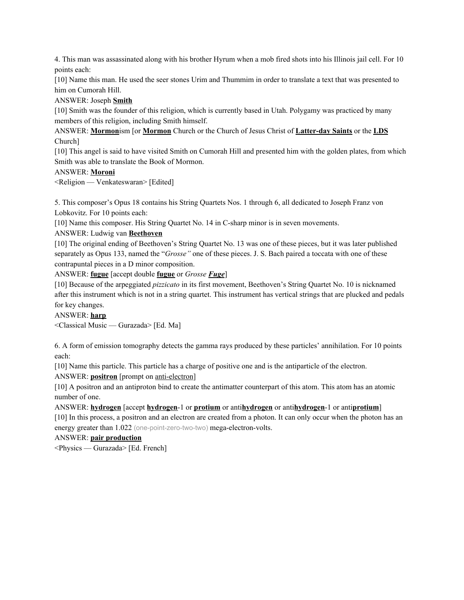4. This man was assassinated along with his brother Hyrum when a mob fired shots into his Illinois jail cell. For 10 points each:

[10] Name this man. He used the seer stones Urim and Thummim in order to translate a text that was presented to him on Cumorah Hill.

# ANSWER: Joseph **Smith**

[10] Smith was the founder of this religion, which is currently based in Utah. Polygamy was practiced by many members of this religion, including Smith himself.

ANSWER: **Mormon**ism [or **Mormon** Church or the Church of Jesus Christ of **Latter-day Saints** or the **LDS** Church]

[10] This angel is said to have visited Smith on Cumorah Hill and presented him with the golden plates, from which Smith was able to translate the Book of Mormon.

## ANSWER: **Moroni**

<Religion — Venkateswaran> [Edited]

5. This composer's Opus 18 contains his String Quartets Nos. 1 through 6, all dedicated to Joseph Franz von Lobkovitz. For 10 points each:

[10] Name this composer. His String Quartet No. 14 in C-sharp minor is in seven movements.

# ANSWER: Ludwig van **Beethoven**

[10] The original ending of Beethoven's String Quartet No. 13 was one of these pieces, but it was later published separately as Opus 133, named the "*Grosse"* one of these pieces. J. S. Bach paired a toccata with one of these contrapuntal pieces in a D minor composition.

ANSWER: **fugue** [accept double **fugue** or *Grosse Fuge*]

[10] Because of the arpeggiated *pizzicato* in its first movement, Beethoven's String Quartet No. 10 is nicknamed after this instrument which is not in a string quartet. This instrument has vertical strings that are plucked and pedals for key changes.

### ANSWER: **harp**

<Classical Music — Gurazada> [Ed. Ma]

6. A form of emission tomography detects the gamma rays produced by these particles' annihilation. For 10 points each:

[10] Name this particle. This particle has a charge of positive one and is the antiparticle of the electron.

ANSWER: **positron** [prompt on anti-electron]

[10] A positron and an antiproton bind to create the antimatter counterpart of this atom. This atom has an atomic number of one.

# ANSWER: **hydrogen** [accept **hydrogen**-1 or **protium** or anti**hydrogen** or anti**hydrogen**-1 or anti**protium**]

[10] In this process, a positron and an electron are created from a photon. It can only occur when the photon has an energy greater than 1.022 (one-point-zero-two-two) mega-electron-volts.

ANSWER: **pair production**

<Physics — Gurazada> [Ed. French]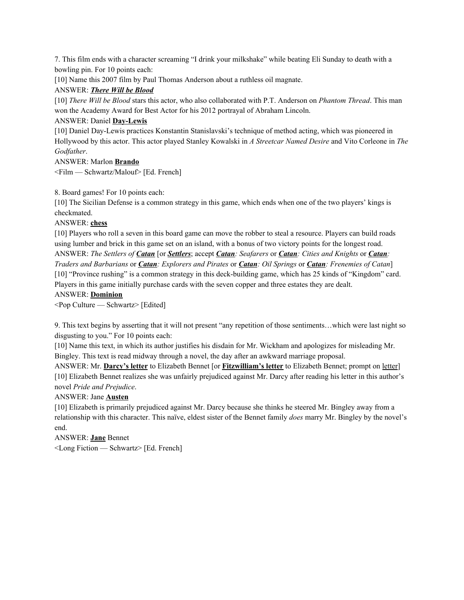7. This film ends with a character screaming "I drink your milkshake" while beating Eli Sunday to death with a bowling pin. For 10 points each:

[10] Name this 2007 film by Paul Thomas Anderson about a ruthless oil magnate.

## ANSWER: *There Will be Blood*

[10] *There Will be Blood* stars this actor, who also collaborated with P.T. Anderson on *Phantom Thread*. This man won the Academy Award for Best Actor for his 2012 portrayal of Abraham Lincoln.

## ANSWER: Daniel **Day-Lewis**

[10] Daniel Day-Lewis practices Konstantin Stanislavski's technique of method acting, which was pioneered in Hollywood by this actor. This actor played Stanley Kowalski in *A Streetcar Named Desire* and Vito Corleone in *The Godfather*.

ANSWER: Marlon **Brando** <Film — Schwartz/Malouf> [Ed. French]

8. Board games! For 10 points each:

[10] The Sicilian Defense is a common strategy in this game, which ends when one of the two players' kings is checkmated.

## ANSWER: **chess**

[10] Players who roll a seven in this board game can move the robber to steal a resource. Players can build roads using lumber and brick in this game set on an island, with a bonus of two victory points for the longest road. ANSWER: *The Settlers of Catan* [or *Settlers*; accept *Catan: Seafarers* or *Catan: Cities and Knights* or *Catan:* Traders and Barbarians or Catan: Explorers and Pirates or Catan: Oil Springs or Catan: Frenemies of Catan] [10] "Province rushing" is a common strategy in this deck-building game, which has 25 kinds of "Kingdom" card. Players in this game initially purchase cards with the seven copper and three estates they are dealt.

## ANSWER: **Dominion**

<Pop Culture — Schwartz> [Edited]

9. This text begins by asserting that it will not present "any repetition of those sentiments…which were last night so disgusting to you." For 10 points each:

[10] Name this text, in which its author justifies his disdain for Mr. Wickham and apologizes for misleading Mr. Bingley. This text is read midway through a novel, the day after an awkward marriage proposal.

ANSWER: Mr. **Darcy's letter** to Elizabeth Bennet [or **Fitzwilliam's letter** to Elizabeth Bennet; prompt on letter] [10] Elizabeth Bennet realizes she was unfairly prejudiced against Mr. Darcy after reading his letter in this author's novel *Pride and Prejudice*.

# ANSWER: Jane **Austen**

[10] Elizabeth is primarily prejudiced against Mr. Darcy because she thinks he steered Mr. Bingley away from a relationship with this character. This naïve, eldest sister of the Bennet family *does* marry Mr. Bingley by the novel's end.

ANSWER: **Jane** Bennet <Long Fiction — Schwartz> [Ed. French]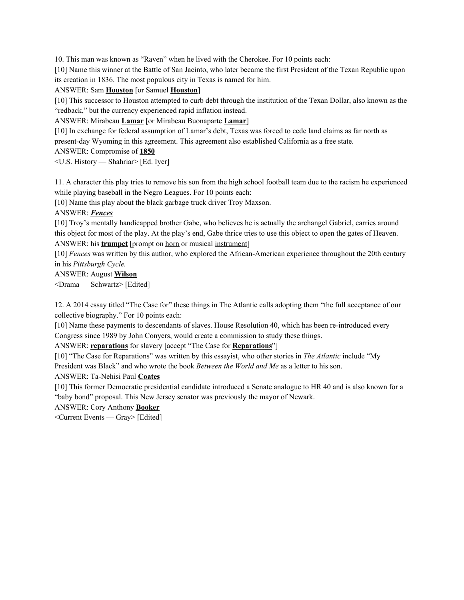10. This man was known as "Raven" when he lived with the Cherokee. For 10 points each:

[10] Name this winner at the Battle of San Jacinto, who later became the first President of the Texan Republic upon its creation in 1836. The most populous city in Texas is named for him.

### ANSWER: Sam **Houston** [or Samuel **Houston**]

[10] This successor to Houston attempted to curb debt through the institution of the Texan Dollar, also known as the "redback," but the currency experienced rapid inflation instead.

ANSWER: Mirabeau **Lamar** [or Mirabeau Buonaparte **Lamar**]

[10] In exchange for federal assumption of Lamar's debt, Texas was forced to cede land claims as far north as present-day Wyoming in this agreement. This agreement also established California as a free state.

ANSWER: Compromise of **1850**

<U.S. History — Shahriar> [Ed. Iyer]

11. A character this play tries to remove his son from the high school football team due to the racism he experienced while playing baseball in the Negro Leagues. For 10 points each:

[10] Name this play about the black garbage truck driver Troy Maxson.

### ANSWER: *Fences*

[10] Troy's mentally handicapped brother Gabe, who believes he is actually the archangel Gabriel, carries around this object for most of the play. At the play's end, Gabe thrice tries to use this object to open the gates of Heaven. ANSWER: his **trumpet** [prompt on horn or musical instrument]

[10] *Fences* was written by this author, who explored the African-American experience throughout the 20th century in his *Pittsburgh Cycle.*

ANSWER: August **Wilson**

<Drama — Schwartz> [Edited]

12. A 2014 essay titled "The Case for" these things in The Atlantic calls adopting them "the full acceptance of our collective biography." For 10 points each:

[10] Name these payments to descendants of slaves. House Resolution 40, which has been re-introduced every Congress since 1989 by John Conyers, would create a commission to study these things.

ANSWER: **reparations** for slavery [accept "The Case for **Reparations**"]

[10] "The Case for Reparations" was written by this essayist, who other stories in *The Atlantic* include "My President was Black" and who wrote the book *Between the World and Me* as a letter to his son.

ANSWER: Ta-Nehisi Paul **Coates**

[10] This former Democratic presidential candidate introduced a Senate analogue to HR 40 and is also known for a "baby bond" proposal. This New Jersey senator was previously the mayor of Newark.

### ANSWER: Cory Anthony **Booker**

<Current Events — Gray> [Edited]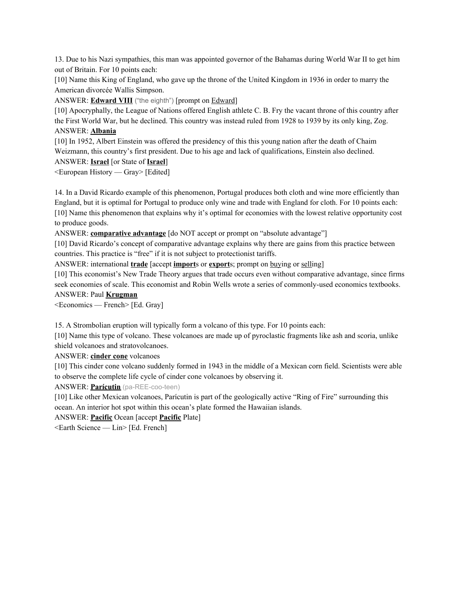13. Due to his Nazi sympathies, this man was appointed governor of the Bahamas during World War II to get him out of Britain. For 10 points each:

[10] Name this King of England, who gave up the throne of the United Kingdom in 1936 in order to marry the American divorcée Wallis Simpson.

ANSWER: **Edward VIII** ("the eighth") [prompt on Edward]

[10] Apocryphally, the League of Nations offered English athlete C. B. Fry the vacant throne of this country after the First World War, but he declined. This country was instead ruled from 1928 to 1939 by its only king, Zog. ANSWER: **Albania**

[10] In 1952, Albert Einstein was offered the presidency of this this young nation after the death of Chaim Weizmann, this country's first president. Due to his age and lack of qualifications, Einstein also declined.

ANSWER: **Israel** [or State of **Israel**]

<European History — Gray> [Edited]

14. In a David Ricardo example of this phenomenon, Portugal produces both cloth and wine more efficiently than England, but it is optimal for Portugal to produce only wine and trade with England for cloth. For 10 points each: [10] Name this phenomenon that explains why it's optimal for economies with the lowest relative opportunity cost to produce goods.

ANSWER: **comparative advantage** [do NOT accept or prompt on "absolute advantage"]

[10] David Ricardo's concept of comparative advantage explains why there are gains from this practice between countries. This practice is "free" if it is not subject to protectionist tariffs.

ANSWER: international **trade** [accept **import**s or **export**s; prompt on buying or selling]

[10] This economist's New Trade Theory argues that trade occurs even without comparative advantage, since firms seek economies of scale. This economist and Robin Wells wrote a series of commonly-used economics textbooks.

### ANSWER: Paul **Krugman**

<Economics — French> [Ed. Gray]

15. A Strombolian eruption will typically form a volcano of this type. For 10 points each:

[10] Name this type of volcano. These volcanoes are made up of pyroclastic fragments like ash and scoria, unlike shield volcanoes and stratovolcanoes.

ANSWER: **cinder cone** volcanoes

[10] This cinder cone volcano suddenly formed in 1943 in the middle of a Mexican corn field. Scientists were able to observe the complete life cycle of cinder cone volcanoes by observing it.

ANSWER: **Parícutin** (pa-REE-coo-teen)

[10] Like other Mexican volcanoes, Parícutin is part of the geologically active "Ring of Fire" surrounding this ocean. An interior hot spot within this ocean's plate formed the Hawaiian islands.

ANSWER: **Pacific** Ocean [accept **Pacific** Plate]

<Earth Science — Lin> [Ed. French]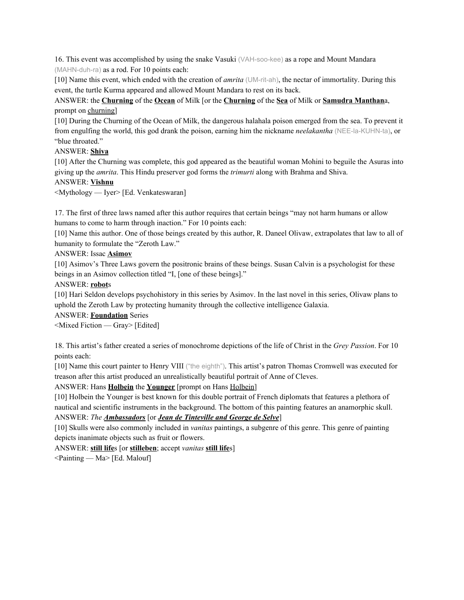16. This event was accomplished by using the snake Vasuki (VAH-soo-kee) as a rope and Mount Mandara (MAHN-duh-ra) as a rod. For 10 points each:

[10] Name this event, which ended with the creation of *amrita* (UM-rit-ah), the nectar of immortality. During this event, the turtle Kurma appeared and allowed Mount Mandara to rest on its back.

ANSWER: the **Churning** of the **Ocean** of Milk [or the **Churning** of the **Sea** of Milk or **Samudra Manthan**a, prompt on churning]

[10] During the Churning of the Ocean of Milk, the dangerous halahala poison emerged from the sea. To prevent it from engulfing the world, this god drank the poison, earning him the nickname *neelakantha* (NEE-la-KUHN-ta), or "blue throated."

### ANSWER: **Shiva**

[10] After the Churning was complete, this god appeared as the beautiful woman Mohini to beguile the Asuras into giving up the *amrita*. This Hindu preserver god forms the *trimurti* along with Brahma and Shiva.

## ANSWER: **Vishnu**

<Mythology — Iyer> [Ed. Venkateswaran]

17. The first of three laws named after this author requires that certain beings "may not harm humans or allow humans to come to harm through inaction." For 10 points each:

[10] Name this author. One of those beings created by this author, R. Daneel Olivaw, extrapolates that law to all of humanity to formulate the "Zeroth Law."

ANSWER: Issac **Asimov**

[10] Asimov's Three Laws govern the positronic brains of these beings. Susan Calvin is a psychologist for these beings in an Asimov collection titled "I, [one of these beings]."

# ANSWER: **robot**s

[10] Hari Seldon develops psychohistory in this series by Asimov. In the last novel in this series, Olivaw plans to uphold the Zeroth Law by protecting humanity through the collective intelligence Galaxia.

### ANSWER: **Foundation** Series

<Mixed Fiction — Gray> [Edited]

18. This artist's father created a series of monochrome depictions of the life of Christ in the *Grey Passion*. For 10 points each:

[10] Name this court painter to Henry VIII ("the eighth"). This artist's patron Thomas Cromwell was executed for treason after this artist produced an unrealistically beautiful portrait of Anne of Cleves.

ANSWER: Hans **Holbein** the **Younger** [prompt on Hans Holbein]

[10] Holbein the Younger is best known for this double portrait of French diplomats that features a plethora of nautical and scientific instruments in the background. The bottom of this painting features an anamorphic skull. ANSWER: *The Ambassadors* [or *Jean de Tinteville and George de Selve*]

[10] Skulls were also commonly included in *vanitas* paintings, a subgenre of this genre. This genre of painting depicts inanimate objects such as fruit or flowers.

ANSWER: **still life**s [or **stilleben**; accept *vanitas* **still life**s]

<Painting — Ma> [Ed. Malouf]